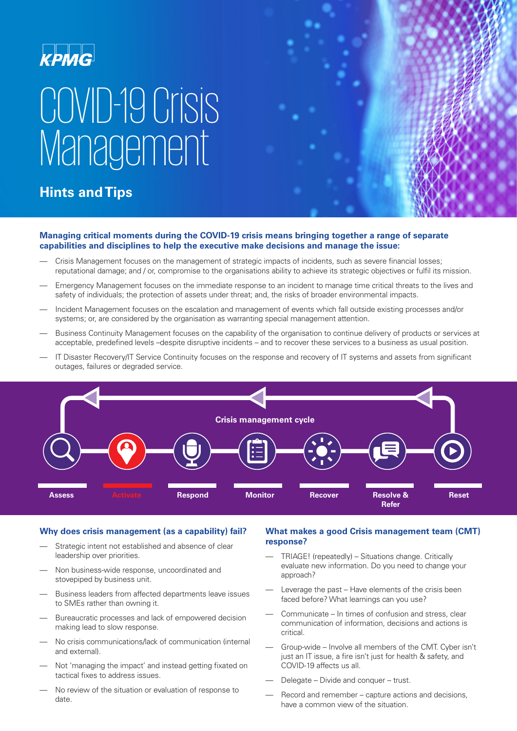### **KPMG**

# COVID-19 Crisis **Management**

### **Hints and Tips**



#### **Managing critical moments during the COVID-19 crisis means bringing together a range of separate capabilities and disciplines to help the executive make decisions and manage the issue:**

- Crisis Management focuses on the management of strategic impacts of incidents, such as severe financial losses; reputational damage; and / or, compromise to the organisations ability to achieve its strategic objectives or fulfil its mission.
- Emergency Management focuses on the immediate response to an incident to manage time critical threats to the lives and safety of individuals; the protection of assets under threat; and, the risks of broader environmental impacts.
- Incident Management focuses on the escalation and management of events which fall outside existing processes and/or systems; or, are considered by the organisation as warranting special management attention.
- Business Continuity Management focuses on the capability of the organisation to continue delivery of products or services at acceptable, predefined levels –despite disruptive incidents – and to recover these services to a business as usual position.
- IT Disaster Recovery/IT Service Continuity focuses on the response and recovery of IT systems and assets from significant outages, failures or degraded service.



#### **Why does crisis management (as a capability) fail?**

- Strategic intent not established and absence of clear leadership over priorities.
- Non business-wide response, uncoordinated and stovepiped by business unit.
- Business leaders from affected departments leave issues to SMEs rather than owning it.
- Bureaucratic processes and lack of empowered decision making lead to slow response.
- No crisis communications/lack of communication (internal and external).
- Not 'managing the impact' and instead getting fixated on tactical fixes to address issues.
- No review of the situation or evaluation of response to date.

#### **What makes a good Crisis management team (CMT) response?**

- TRIAGE! (repeatedly) Situations change. Critically evaluate new information. Do you need to change your approach?
- Leverage the past Have elements of the crisis been faced before? What learnings can you use?
- Communicate In times of confusion and stress, clear communication of information, decisions and actions is critical.
- Group-wide Involve all members of the CMT. Cyber isn't just an IT issue, a fire isn't just for health & safety, and COVID-19 affects us all.
- Delegate Divide and conquer trust.
- Record and remember capture actions and decisions, have a common view of the situation.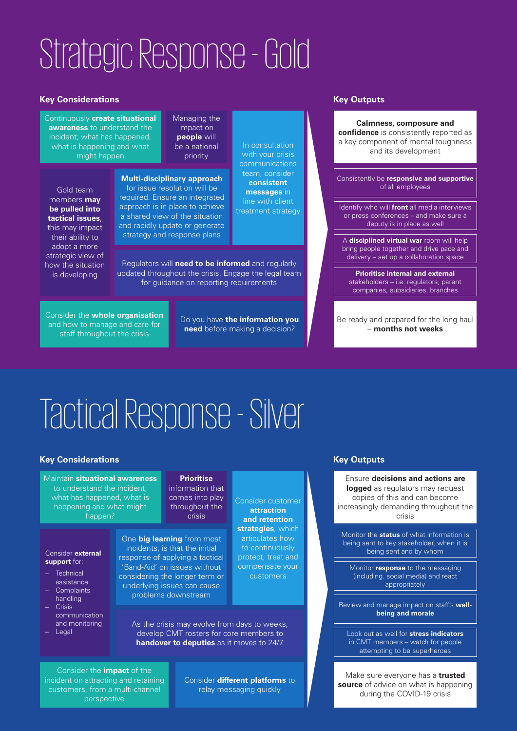## Strategic Response - Gold

#### **Key Considerations**

Continuously **create situational awareness** to understand the incident; what has happened, what is happening and what might happen

Gold team members **may be pulled into tactical issues**, this may impact their ability to adopt a more strategic view of how the situation is developing

Managing the impact on **people** will be a national priority

#### **Multi-disciplinary approach** for issue resolution will be required. Ensure an integrated approach is in place to achieve a shared view of the situation and rapidly update or generate strategy and response plans

with your crisis communications team, consider **consistent messages** in line with client treatment strategy

In consultation

Regulators will **need to be informed** and regularly updated throughout the crisis. Engage the legal team for guidance on reporting requirements

Consider the **whole organisation** and how to manage and care for staff throughout the crisis

Do you have **the information you need** before making a decision?

#### **Key Outputs**



Be ready and prepared for the long haul – **months not weeks**

### Tactical Response - Silver

#### **Key Considerations**

Maintain **situational awareness** to understand the incident; what has happened, what is happening and what might happen?

#### Consider **external support** for:

- **Technical** assistance
- Complaints handling
- Crisis communication
- and monitoring – Legal

**Prioritise** information that comes into play throughout the crisis

#### One **big learning** from most

incidents, is that the initial response of applying a tactical 'Band-Aid' on issues without considering the longer term or underlying issues can cause problems downstream

Consider customer **attraction and retention strategies**, which articulates how to continuously protect, treat and compensate your customers

As the crisis may evolve from days to weeks, develop CMT rosters for core members to **handover to deputies** as it moves to 24/7.

Consider the **impact** of the incident on attracting and retaining customers, from a multi-channel perspective

Consider **different platforms** to relay messaging quickly

#### **Key Outputs**

Ensure **decisions and actions are logged** as regulators may request copies of this and can become increasingly demanding throughout the crisis

Monitor the **status** of what information is being sent to key stakeholder, when it is being sent and by whom

Monitor **response** to the messaging (including. social media) and react appropriately

Review and manage impact on staff's **wellbeing and morale**

Look out as well for **stress indicators** in CMT members – watch for people attempting to be superheroes

Make sure everyone has a **trusted source** of advice on what is happening during the COVID-19 crisis